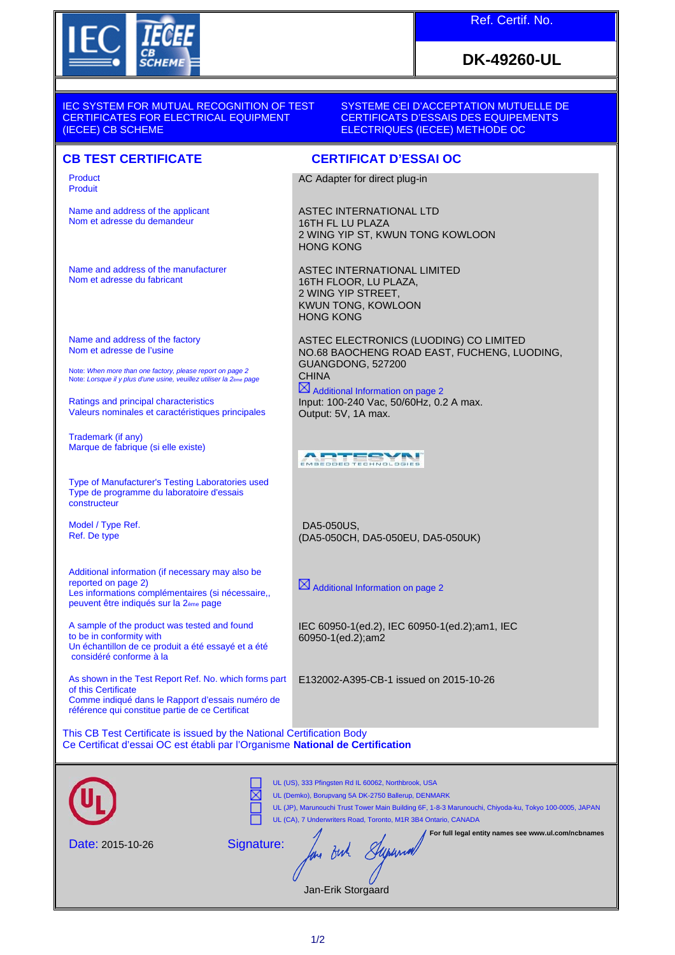

Name and address of the applicant Nom et adresse du demandeur

Name and address of the manufacturer

Nom et adresse du fabricant

Name and address of the factory Nom et adresse de l'usine

Ratings and principal characteristics

Marque de fabrique (si elle existe)

Trademark (if any)

constructeur

Model / Type Ref. Ref. De type

reported on page 2)

to be in conformity with

of this Certificate

considéré conforme à la

Note: *When more than one factory, please report on page 2* Note: *Lorsque il y plus d'une usine, veuillez utiliser la 2ème page*

Valeurs nominales et caractéristiques principales

Type of Manufacturer's Testing Laboratories used Type de programme du laboratoire d'essais

Additional information (if necessary may also be

A sample of the product was tested and found

Un échantillon de ce produit a été essayé et a été

As shown in the Test Report Ref. No. which forms part

Comme indiqué dans le Rapport d'essais numéro de référence qui constitue partie de ce Certificat

peuvent être indiqués sur la 2ème page

Les informations complémentaires (si nécessaire,

Product Produit

## **DK-49260-UL**

IEC SYSTEM FOR MUTUAL RECOGNITION OF TEST CERTIFICATES FOR ELECTRICAL EQUIPMENT (IECEE) CB SCHEME

SYSTEME CEI D'ACCEPTATION MUTUELLE DE CERTIFICATS D'ESSAIS DES EQUIPEMENTS ELECTRIQUES (IECEE) METHODE OC

## **CB TEST CERTIFICATE CERTIFICAT D'ESSAI OC**

AC Adapter for direct plug-in

ASTEC INTERNATIONAL LTD 16TH FL LU PLAZA 2 WING YIP ST, KWUN TONG KOWLOON HONG KONG

ASTEC INTERNATIONAL LIMITED 16TH FLOOR, LU PLAZA, 2 WING YIP STREET, KWUN TONG, KOWLOON HONG KONG

ASTEC ELECTRONICS (LUODING) CO LIMITED NO.68 BAOCHENG ROAD EAST, FUCHENG, LUODING, GUANGDONG, 527200 **CHINA** 

 $\boxtimes$  Additional Information on page 2 Input: 100-240 Vac, 50/60Hz, 0.2 A max. Output: 5V, 1A max.

ABUESYN

DA5-050US, (DA5-050CH, DA5-050EU, DA5-050UK)

 $\boxtimes$  Additional Information on page 2

IEC 60950-1(ed.2), IEC 60950-1(ed.2);am1, IEC 60950-1(ed.2);am2

E132002-A395-CB-1 issued on 2015-10-26

This CB Test Certificate is issued by the National Certification Body Ce Certificat d'essai OC est établi par l'Organisme **National de Certification**

|                  | UL (US), 333 Pfingsten Rd IL 60062, Northbrook, USA<br>UL (Demko), Borupvang 5A DK-2750 Ballerup, DENMARK<br>UL (JP), Marunouchi Trust Tower Main Building 6F, 1-8-3 Marunouchi, Chiyoda-ku, Tokyo 100-0005, JAPAN<br>UL (CA), 7 Underwriters Road, Toronto, M1R 3B4 Ontario, CANADA |
|------------------|--------------------------------------------------------------------------------------------------------------------------------------------------------------------------------------------------------------------------------------------------------------------------------------|
| Date: 2015-10-26 | For full legal entity names see www.ul.com/ncbnames<br>Signature:                                                                                                                                                                                                                    |
|                  | Jan-Erik Storgaard                                                                                                                                                                                                                                                                   |